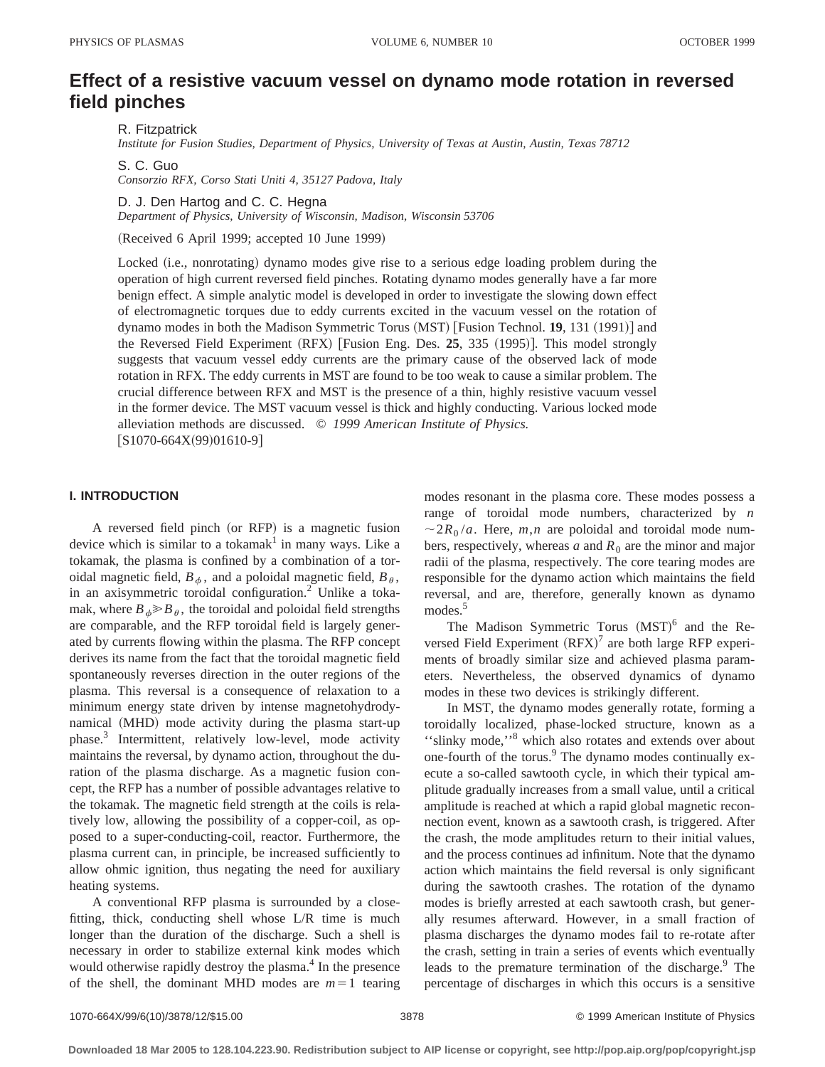# **Effect of a resistive vacuum vessel on dynamo mode rotation in reversed field pinches**

R. Fitzpatrick

*Institute for Fusion Studies, Department of Physics, University of Texas at Austin, Austin, Texas 78712*

S. C. Guo *Consorzio RFX, Corso Stati Uniti 4, 35127 Padova, Italy*

D. J. Den Hartog and C. C. Hegna

*Department of Physics, University of Wisconsin, Madison, Wisconsin 53706*

(Received 6 April 1999; accepted 10 June 1999)

Locked (i.e., nonrotating) dynamo modes give rise to a serious edge loading problem during the operation of high current reversed field pinches. Rotating dynamo modes generally have a far more benign effect. A simple analytic model is developed in order to investigate the slowing down effect of electromagnetic torques due to eddy currents excited in the vacuum vessel on the rotation of dynamo modes in both the Madison Symmetric Torus (MST) [Fusion Technol. 19, 131 (1991)] and the Reversed Field Experiment  $(RFX)$  [Fusion Eng. Des. 25, 335  $(1995)$ ]. This model strongly suggests that vacuum vessel eddy currents are the primary cause of the observed lack of mode rotation in RFX. The eddy currents in MST are found to be too weak to cause a similar problem. The crucial difference between RFX and MST is the presence of a thin, highly resistive vacuum vessel in the former device. The MST vacuum vessel is thick and highly conducting. Various locked mode alleviation methods are discussed. © *1999 American Institute of Physics.*  $[S1070-664X(99)01610-9]$ 

# **I. INTRODUCTION**

A reversed field pinch (or RFP) is a magnetic fusion device which is similar to a tokamak<sup>1</sup> in many ways. Like a tokamak, the plasma is confined by a combination of a toroidal magnetic field,  $B_{\phi}$ , and a poloidal magnetic field,  $B_{\theta}$ , in an axisymmetric toroidal configuration.<sup>2</sup> Unlike a tokamak, where  $B_{\phi} \ge B_{\theta}$ , the toroidal and poloidal field strengths are comparable, and the RFP toroidal field is largely generated by currents flowing within the plasma. The RFP concept derives its name from the fact that the toroidal magnetic field spontaneously reverses direction in the outer regions of the plasma. This reversal is a consequence of relaxation to a minimum energy state driven by intense magnetohydrodynamical (MHD) mode activity during the plasma start-up phase.3 Intermittent, relatively low-level, mode activity maintains the reversal, by dynamo action, throughout the duration of the plasma discharge. As a magnetic fusion concept, the RFP has a number of possible advantages relative to the tokamak. The magnetic field strength at the coils is relatively low, allowing the possibility of a copper-coil, as opposed to a super-conducting-coil, reactor. Furthermore, the plasma current can, in principle, be increased sufficiently to allow ohmic ignition, thus negating the need for auxiliary heating systems.

A conventional RFP plasma is surrounded by a closefitting, thick, conducting shell whose L/R time is much longer than the duration of the discharge. Such a shell is necessary in order to stabilize external kink modes which would otherwise rapidly destroy the plasma.<sup>4</sup> In the presence of the shell, the dominant MHD modes are  $m=1$  tearing modes resonant in the plasma core. These modes possess a range of toroidal mode numbers, characterized by *n*  $\sim$  2 $R_0/a$ . Here, *m*,*n* are poloidal and toroidal mode numbers, respectively, whereas  $a$  and  $R_0$  are the minor and major radii of the plasma, respectively. The core tearing modes are responsible for the dynamo action which maintains the field reversal, and are, therefore, generally known as dynamo modes.<sup>5</sup>

The Madison Symmetric Torus  $(MST)^6$  and the Reversed Field Experiment  $(RFX)^7$  are both large RFP experiments of broadly similar size and achieved plasma parameters. Nevertheless, the observed dynamics of dynamo modes in these two devices is strikingly different.

In MST, the dynamo modes generally rotate, forming a toroidally localized, phase-locked structure, known as a ''slinky mode,''8 which also rotates and extends over about one-fourth of the torus.<sup>9</sup> The dynamo modes continually execute a so-called sawtooth cycle, in which their typical amplitude gradually increases from a small value, until a critical amplitude is reached at which a rapid global magnetic reconnection event, known as a sawtooth crash, is triggered. After the crash, the mode amplitudes return to their initial values, and the process continues ad infinitum. Note that the dynamo action which maintains the field reversal is only significant during the sawtooth crashes. The rotation of the dynamo modes is briefly arrested at each sawtooth crash, but generally resumes afterward. However, in a small fraction of plasma discharges the dynamo modes fail to re-rotate after the crash, setting in train a series of events which eventually leads to the premature termination of the discharge.<sup>9</sup> The percentage of discharges in which this occurs is a sensitive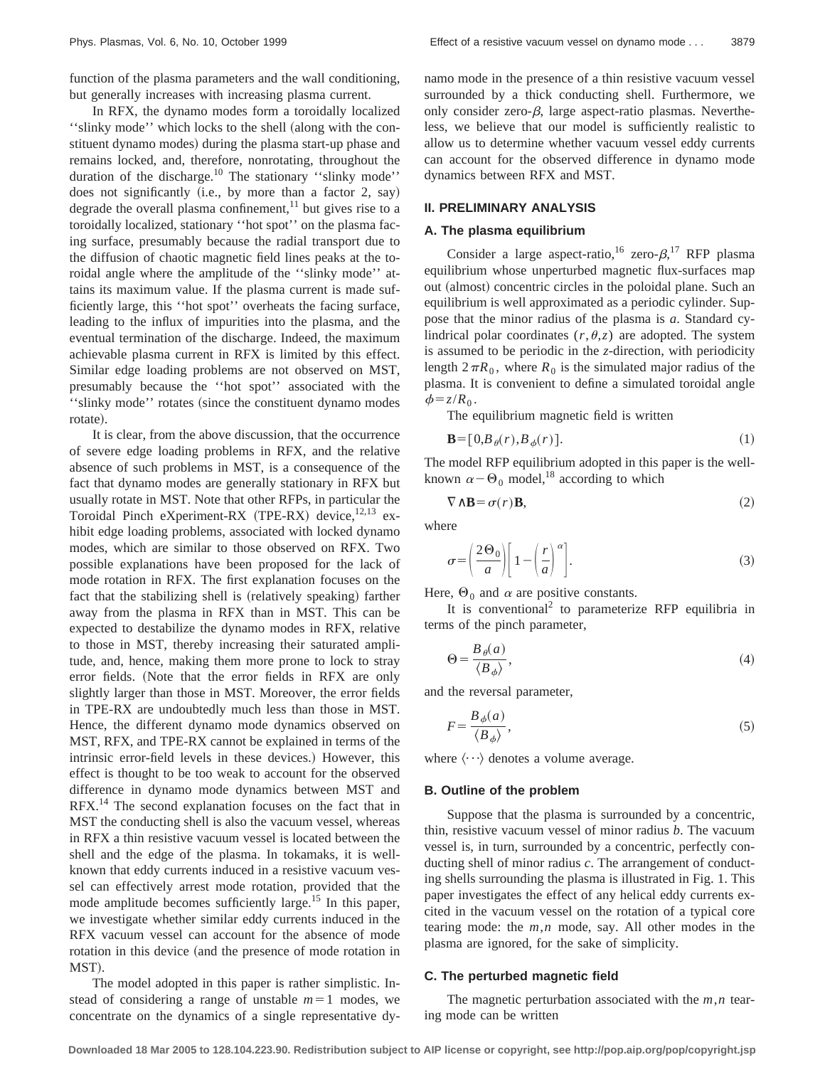function of the plasma parameters and the wall conditioning, but generally increases with increasing plasma current.

In RFX, the dynamo modes form a toroidally localized "slinky mode" which locks to the shell (along with the constituent dynamo modes) during the plasma start-up phase and remains locked, and, therefore, nonrotating, throughout the duration of the discharge.<sup>10</sup> The stationary "slinky mode" does not significantly  $(i.e., by more than a factor 2, say)$ degrade the overall plasma confinement, $^{11}$  but gives rise to a toroidally localized, stationary ''hot spot'' on the plasma facing surface, presumably because the radial transport due to the diffusion of chaotic magnetic field lines peaks at the toroidal angle where the amplitude of the ''slinky mode'' attains its maximum value. If the plasma current is made sufficiently large, this ''hot spot'' overheats the facing surface, leading to the influx of impurities into the plasma, and the eventual termination of the discharge. Indeed, the maximum achievable plasma current in RFX is limited by this effect. Similar edge loading problems are not observed on MST, presumably because the ''hot spot'' associated with the "slinky mode" rotates (since the constituent dynamo modes rotate).

It is clear, from the above discussion, that the occurrence of severe edge loading problems in RFX, and the relative absence of such problems in MST, is a consequence of the fact that dynamo modes are generally stationary in RFX but usually rotate in MST. Note that other RFPs, in particular the Toroidal Pinch eXperiment-RX (TPE-RX) device,<sup>12,13</sup> exhibit edge loading problems, associated with locked dynamo modes, which are similar to those observed on RFX. Two possible explanations have been proposed for the lack of mode rotation in RFX. The first explanation focuses on the fact that the stabilizing shell is (relatively speaking) farther away from the plasma in RFX than in MST. This can be expected to destabilize the dynamo modes in RFX, relative to those in MST, thereby increasing their saturated amplitude, and, hence, making them more prone to lock to stray error fields. (Note that the error fields in RFX are only slightly larger than those in MST. Moreover, the error fields in TPE-RX are undoubtedly much less than those in MST. Hence, the different dynamo mode dynamics observed on MST, RFX, and TPE-RX cannot be explained in terms of the intrinsic error-field levels in these devices.) However, this effect is thought to be too weak to account for the observed difference in dynamo mode dynamics between MST and RFX.14 The second explanation focuses on the fact that in MST the conducting shell is also the vacuum vessel, whereas in RFX a thin resistive vacuum vessel is located between the shell and the edge of the plasma. In tokamaks, it is wellknown that eddy currents induced in a resistive vacuum vessel can effectively arrest mode rotation, provided that the mode amplitude becomes sufficiently large.<sup>15</sup> In this paper, we investigate whether similar eddy currents induced in the RFX vacuum vessel can account for the absence of mode rotation in this device (and the presence of mode rotation in MST).

The model adopted in this paper is rather simplistic. Instead of considering a range of unstable  $m=1$  modes, we concentrate on the dynamics of a single representative dynamo mode in the presence of a thin resistive vacuum vessel surrounded by a thick conducting shell. Furthermore, we only consider zero- $\beta$ , large aspect-ratio plasmas. Nevertheless, we believe that our model is sufficiently realistic to allow us to determine whether vacuum vessel eddy currents can account for the observed difference in dynamo mode dynamics between RFX and MST.

# **II. PRELIMINARY ANALYSIS**

# **A. The plasma equilibrium**

Consider a large aspect-ratio, <sup>16</sup> zero- $\beta$ , <sup>17</sup> RFP plasma equilibrium whose unperturbed magnetic flux-surfaces map out (almost) concentric circles in the poloidal plane. Such an equilibrium is well approximated as a periodic cylinder. Suppose that the minor radius of the plasma is *a*. Standard cylindrical polar coordinates  $(r, \theta, z)$  are adopted. The system is assumed to be periodic in the *z*-direction, with periodicity length  $2\pi R_0$ , where  $R_0$  is the simulated major radius of the plasma. It is convenient to define a simulated toroidal angle  $\phi = z/R_0$ .

The equilibrium magnetic field is written

$$
\mathbf{B} = [0, B_{\theta}(r), B_{\phi}(r)].\tag{1}
$$

The model RFP equilibrium adopted in this paper is the wellknown  $\alpha-\Theta_0$  model,<sup>18</sup> according to which

$$
\nabla \wedge \mathbf{B} = \sigma(r) \mathbf{B},\tag{2}
$$

where

$$
\sigma = \left(\frac{2\Theta_0}{a}\right) \left[1 - \left(\frac{r}{a}\right)^{\alpha}\right].\tag{3}
$$

Here,  $\Theta_0$  and  $\alpha$  are positive constants.

It is conventional<sup>2</sup> to parameterize RFP equilibria in terms of the pinch parameter,

$$
\Theta = \frac{B_{\theta}(a)}{\langle B_{\phi} \rangle},\tag{4}
$$

and the reversal parameter,

$$
F = \frac{B_{\phi}(a)}{\langle B_{\phi} \rangle},\tag{5}
$$

where  $\langle \cdots \rangle$  denotes a volume average.

# **B. Outline of the problem**

Suppose that the plasma is surrounded by a concentric, thin, resistive vacuum vessel of minor radius *b*. The vacuum vessel is, in turn, surrounded by a concentric, perfectly conducting shell of minor radius *c*. The arrangement of conducting shells surrounding the plasma is illustrated in Fig. 1. This paper investigates the effect of any helical eddy currents excited in the vacuum vessel on the rotation of a typical core tearing mode: the *m*,*n* mode, say. All other modes in the plasma are ignored, for the sake of simplicity.

# **C. The perturbed magnetic field**

The magnetic perturbation associated with the *m*,*n* tearing mode can be written

**Downloaded 18 Mar 2005 to 128.104.223.90. Redistribution subject to AIP license or copyright, see http://pop.aip.org/pop/copyright.jsp**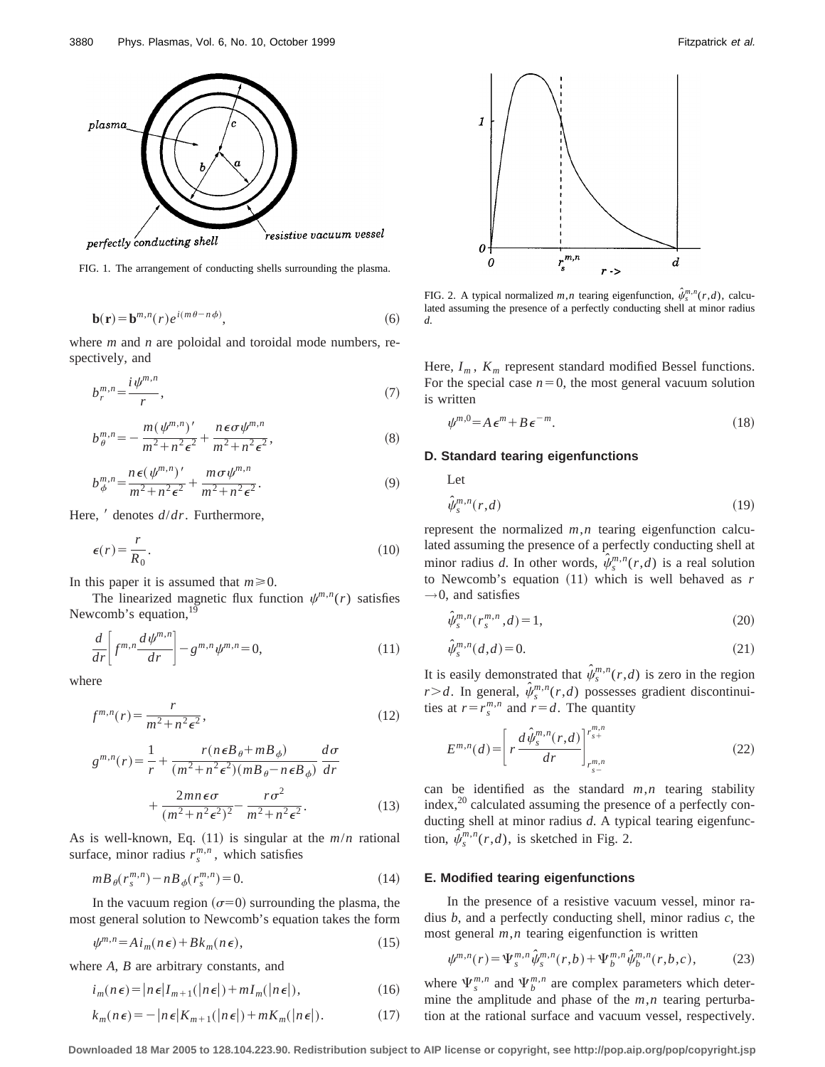

FIG. 1. The arrangement of conducting shells surrounding the plasma.

$$
\mathbf{b}(\mathbf{r}) = \mathbf{b}^{m,n}(r)e^{i(m\theta - n\phi)},\tag{6}
$$

where *m* and *n* are poloidal and toroidal mode numbers, respectively, and

$$
b_r^{m,n} = \frac{i\psi^{m,n}}{r},\tag{7}
$$

$$
b_{\theta}^{m,n} = -\frac{m(\psi^{m,n})'}{m^2 + n^2 \epsilon^2} + \frac{n \epsilon \sigma \psi^{m,n}}{m^2 + n^2 \epsilon^2},
$$
 (8)

$$
b_{\phi}^{m,n} = \frac{n\,\epsilon(\,\psi^{m,n})'}{m^2 + n^2\,\epsilon^2} + \frac{m\,\sigma\,\psi^{m,n}}{m^2 + n^2\,\epsilon^2}.\tag{9}
$$

Here, *'* denotes  $d/dr$ . Furthermore,

$$
\epsilon(r) = \frac{r}{R_0}.\tag{10}
$$

In this paper it is assumed that  $m \ge 0$ .

The linearized magnetic flux function  $\psi^{m,n}(r)$  satisfies Newcomb's equation,<sup>19</sup>

$$
\frac{d}{dr}\bigg[f^{m,n}\frac{d\psi^{m,n}}{dr}\bigg] - g^{m,n}\psi^{m,n} = 0,\tag{11}
$$

where

$$
f^{m,n}(r) = \frac{r}{m^2 + n^2 \epsilon^2},\tag{12}
$$

$$
g^{m,n}(r) = \frac{1}{r} + \frac{r(n\epsilon B_{\theta} + mB_{\phi})}{(m^2 + n^2\epsilon^2)(mB_{\theta} - n\epsilon B_{\phi})} \frac{d\sigma}{dr}
$$

$$
+ \frac{2mn\epsilon\sigma}{(m^2 + n^2\epsilon^2)^2} - \frac{r\sigma^2}{m^2 + n^2\epsilon^2}.
$$
(13)

As is well-known, Eq.  $(11)$  is singular at the  $m/n$  rational surface, minor radius  $r_s^{m,n}$ , which satisfies

$$
m B_{\theta}(r_s^{m,n}) - n B_{\phi}(r_s^{m,n}) = 0.
$$
\n(14)

In the vacuum region  $(\sigma=0)$  surrounding the plasma, the most general solution to Newcomb's equation takes the form

$$
\psi^{m,n} = A i_m(n\epsilon) + B k_m(n\epsilon),\tag{15}
$$

where *A*, *B* are arbitrary constants, and

$$
i_m(n\epsilon) = |n\epsilon|I_{m+1}(|n\epsilon|) + mI_m(|n\epsilon|),
$$
\n(16)

$$
k_m(n\epsilon) = -|n\epsilon|K_{m+1}(|n\epsilon|) + mK_m(|n\epsilon|). \tag{17}
$$



FIG. 2. A typical normalized  $m, n$  tearing eigenfunction,  $\hat{\psi}_s^{m,n}(r,d)$ , calculated assuming the presence of a perfectly conducting shell at minor radius *d*.

Here,  $I_m$ ,  $K_m$  represent standard modified Bessel functions. For the special case  $n=0$ , the most general vacuum solution is written

$$
\psi^{m,0} = A \, \epsilon^m + B \, \epsilon^{-m}.\tag{18}
$$

# **D. Standard tearing eigenfunctions**

Let

$$
\hat{\psi}_{s}^{m,n}(r,d) \tag{19}
$$

represent the normalized *m*,*n* tearing eigenfunction calculated assuming the presence of a perfectly conducting shell at minor radius *d*. In other words,  $\hat{\psi}_s^{m,n}(r,d)$  is a real solution to Newcomb's equation  $(11)$  which is well behaved as  $r$  $\rightarrow$ 0, and satisfies

$$
\hat{\psi}_{s}^{m,n}(r_{s}^{m,n},d) = 1,
$$
\n(20)

$$
\hat{\psi}_{s}^{m,n}(d,d) = 0.
$$
\n(21)

It is easily demonstrated that  $\hat{\psi}_s^{m,n}(r,d)$  is zero in the region  $r > d$ . In general,  $\hat{\psi}_s^{m,n}(r,d)$  possesses gradient discontinuities at  $r = r_s^{m,n}$  and  $r = d$ . The quantity

$$
E^{m,n}(d) = \left[ r \frac{d \hat{\psi}_s^{m,n}(r,d)}{dr} \right]_{r_{s-}^{m,n}}^{r_{s+}^{m,n}}
$$
(22)

can be identified as the standard  $m, n$  tearing stability index,<sup>20</sup> calculated assuming the presence of a perfectly conducting shell at minor radius *d*. A typical tearing eigenfunction,  $\hat{\psi}_s^{m,n}(r,d)$ , is sketched in Fig. 2.

#### **E. Modified tearing eigenfunctions**

In the presence of a resistive vacuum vessel, minor radius *b*, and a perfectly conducting shell, minor radius *c*, the most general *m*,*n* tearing eigenfunction is written

$$
\psi^{m,n}(r) = \Psi_s^{m,n} \hat{\psi}_s^{m,n}(r,b) + \Psi_b^{m,n} \hat{\psi}_b^{m,n}(r,b,c),
$$
 (23)

where  $\Psi_s^{m,n}$  and  $\Psi_b^{m,n}$  are complex parameters which determine the amplitude and phase of the *m*,*n* tearing perturbation at the rational surface and vacuum vessel, respectively.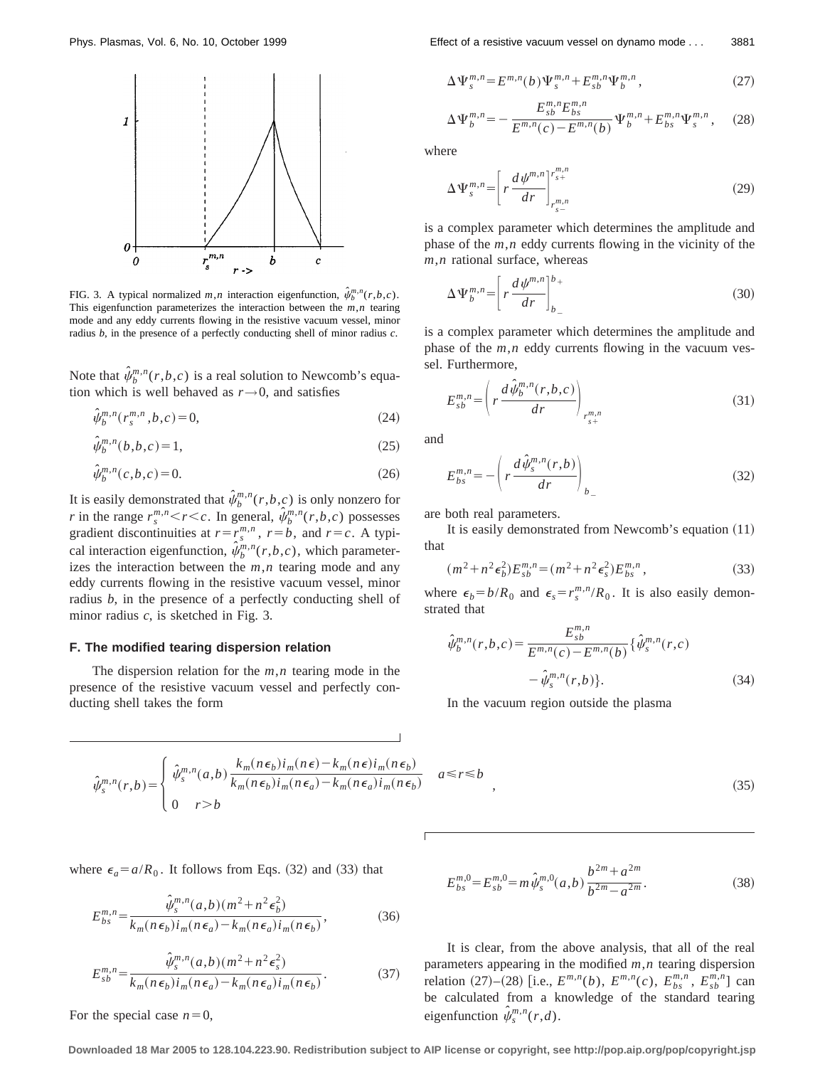

FIG. 3. A typical normalized  $m, n$  interaction eigenfunction,  $\hat{\psi}_b^{m,n}(r,b,c)$ . This eigenfunction parameterizes the interaction between the *m*,*n* tearing mode and any eddy currents flowing in the resistive vacuum vessel, minor radius *b*, in the presence of a perfectly conducting shell of minor radius *c*.

Note that  $\hat{\psi}_b^{m,n}(r,b,c)$  is a real solution to Newcomb's equation which is well behaved as  $r \rightarrow 0$ , and satisfies

$$
\hat{\psi}_{b}^{m,n}(r_{s}^{m,n},b,c) = 0,
$$
\n(24)

$$
\hat{\psi}_b^{m,n}(b,b,c) = 1,\tag{25}
$$

$$
\hat{\psi}_{b}^{m,n}(c,b,c) = 0.
$$
\n(26)

It is easily demonstrated that  $\hat{\psi}_b^{m,n}(r,b,c)$  is only nonzero for *r* in the range  $r_s^{m,n} < r < c$ . In general,  $\hat{\psi}_b^{m,n}(r,b,c)$  possesses gradient discontinuities at  $r = r_s^{m,n}$ ,  $r = b$ , and  $r = c$ . A typical interaction eigenfunction,  $\hat{\psi}_b^{m,n}(r,b,c)$ , which parameterizes the interaction between the *m*,*n* tearing mode and any eddy currents flowing in the resistive vacuum vessel, minor radius *b*, in the presence of a perfectly conducting shell of minor radius *c*, is sketched in Fig. 3.

# **F. The modified tearing dispersion relation**

The dispersion relation for the *m*,*n* tearing mode in the presence of the resistive vacuum vessel and perfectly conducting shell takes the form

$$
\hat{\psi}_{s}^{m,n}(r,b) = \begin{cases} \hat{\psi}_{s}^{m,n}(a,b) \frac{k_{m}(n\epsilon_{b})i_{m}(n\epsilon) - k_{m}(n\epsilon)i_{m}(n\epsilon_{b})}{k_{m}(n\epsilon_{b})i_{m}(n\epsilon_{a}) - k_{m}(n\epsilon_{a})i_{m}(n\epsilon_{b})} & a \leq r \leq b \\ 0 & r > b \end{cases},
$$

where  $\epsilon_a = a/R_0$ . It follows from Eqs. (32) and (33) that

$$
E_{bs}^{m,n} = \frac{\hat{\psi}_{s}^{m,n}(a,b)(m^2 + n^2 \epsilon_b^2)}{k_m(n\epsilon_b)i_m(n\epsilon_a) - k_m(n\epsilon_a)i_m(n\epsilon_b)},
$$
(36)

$$
E_{sb}^{m,n} = \frac{\hat{\psi}_s^{m,n}(a,b)(m^2 + n^2 \epsilon_s^2)}{k_m(n\epsilon_b)i_m(n\epsilon_a) - k_m(n\epsilon_a)i_m(n\epsilon_b)}.
$$
(37)

For the special case  $n=0$ ,

Phys. Plasmas, Vol. 6, No. 10, October 1999 Effect of a resistive vacuum vessel on dynamo mode... 3881

$$
\Delta \Psi_s^{m,n} = E^{m,n}(b) \Psi_s^{m,n} + E_{sb}^{m,n} \Psi_b^{m,n}, \qquad (27)
$$

$$
\Delta \Psi_{b}^{m,n} = -\frac{E_{sb}^{m,n} E_{bs}^{m,n}}{E^{m,n}(c) - E^{m,n}(b)} \Psi_{b}^{m,n} + E_{bs}^{m,n} \Psi_{s}^{m,n}, \quad (28)
$$

where

$$
\Delta \Psi_s^{m,n} = \left[ r \frac{d \psi^{m,n}}{dr} \right]_{\substack{r_s \to r\\r_s = 0}}^{\substack{m,n\\r_s}} \tag{29}
$$

is a complex parameter which determines the amplitude and phase of the *m*,*n* eddy currents flowing in the vicinity of the *m*,*n* rational surface, whereas

$$
\Delta \Psi_b^{m,n} = \left[ r \frac{d \psi^{m,n}}{dr} \right]_{b_{-}}^{b_{+}}
$$
\n(30)

is a complex parameter which determines the amplitude and phase of the *m*,*n* eddy currents flowing in the vacuum vessel. Furthermore,

$$
E_{sb}^{m,n} = \left(r \frac{d \hat{\psi}_b^{m,n}(r,b,c)}{dr}\right)_{r_{s+}^{m,n}}
$$
\n(31)

and

$$
E_{bs}^{m,n} = -\left(r\frac{d\hat{\psi}_s^{m,n}(r,b)}{dr}\right)_{b_{-}}
$$
(32)

are both real parameters.

It is easily demonstrated from Newcomb's equation  $(11)$ that

$$
(m^{2} + n^{2} \epsilon_{b}^{2}) E_{sb}^{m,n} = (m^{2} + n^{2} \epsilon_{s}^{2}) E_{bs}^{m,n}, \qquad (33)
$$

where  $\epsilon_b = b/R_0$  and  $\epsilon_s = r_s^{m,n}/R_0$ . It is also easily demonstrated that

$$
\hat{\psi}_{b}^{m,n}(r,b,c) = \frac{E_{sb}^{m,n}}{E^{m,n}(c) - E^{m,n}(b)} \{\hat{\psi}_{s}^{m,n}(r,c) - \hat{\psi}_{s}^{m,n}(r,b)\}.
$$
\n(34)

In the vacuum region outside the plasma

$$
\frac{\epsilon_b}{n\epsilon_b} \quad a \le r \le b \tag{35}
$$

$$
E_{bs}^{m,0} = E_{sb}^{m,0} = m\,\hat{\psi}_s^{m,0}(a,b)\,\frac{b^{2m} + a^{2m}}{b^{2m} - a^{2m}}.\tag{38}
$$

It is clear, from the above analysis, that all of the real parameters appearing in the modified *m*,*n* tearing dispersion relation (27)–(28) [i.e.,  $E^{m,n}(b)$ ,  $E^{m,n}(c)$ ,  $E^{m,n}_{bs}$ ,  $E^{m,n}_{sb}$ ] can be calculated from a knowledge of the standard tearing eigenfunction  $\hat{\psi}_s^{m,n}(r,d)$ .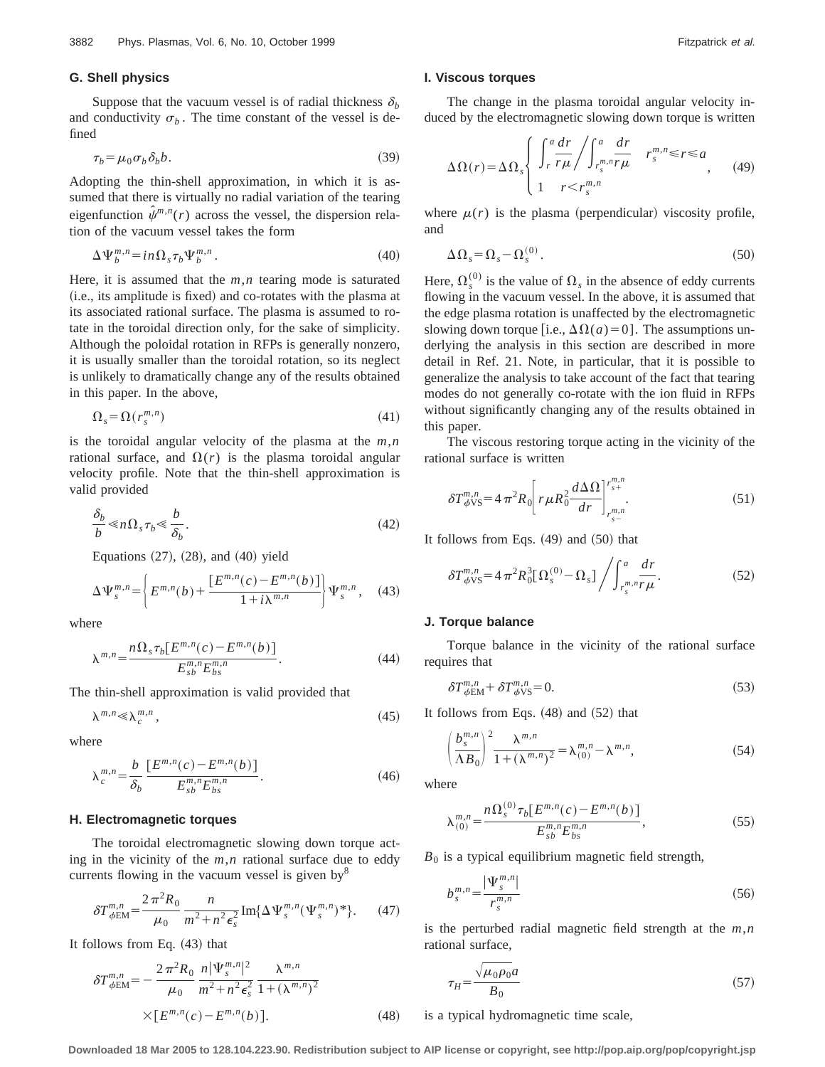#### **G. Shell physics**

Suppose that the vacuum vessel is of radial thickness  $\delta_b$ and conductivity  $\sigma_b$ . The time constant of the vessel is defined

$$
\tau_b = \mu_0 \sigma_b \delta_b b. \tag{39}
$$

Adopting the thin-shell approximation, in which it is assumed that there is virtually no radial variation of the tearing eigenfunction  $\hat{\psi}^{m,n}(r)$  across the vessel, the dispersion relation of the vacuum vessel takes the form

$$
\Delta \Psi_b^{m,n} = in \Omega_s \tau_b \Psi_b^{m,n} \,. \tag{40}
$$

Here, it is assumed that the *m*,*n* tearing mode is saturated (i.e., its amplitude is fixed) and co-rotates with the plasma at its associated rational surface. The plasma is assumed to rotate in the toroidal direction only, for the sake of simplicity. Although the poloidal rotation in RFPs is generally nonzero, it is usually smaller than the toroidal rotation, so its neglect is unlikely to dramatically change any of the results obtained in this paper. In the above,

$$
\Omega_s = \Omega(r_s^{m,n})\tag{41}
$$

is the toroidal angular velocity of the plasma at the *m*,*n* rational surface, and  $\Omega(r)$  is the plasma toroidal angular velocity profile. Note that the thin-shell approximation is valid provided

$$
\frac{\delta_b}{b} \ll n\Omega_s \tau_b \ll \frac{b}{\delta_b}.\tag{42}
$$

Equations  $(27)$ ,  $(28)$ , and  $(40)$  yield

$$
\Delta \Psi_s^{m,n} = \left\{ E^{m,n}(b) + \frac{[E^{m,n}(c) - E^{m,n}(b)]}{1 + i\lambda^{m,n}} \right\} \Psi_s^{m,n}, \quad (43)
$$

where

$$
\lambda^{m,n} = \frac{n\Omega_s \tau_b[E^{m,n}(c) - E^{m,n}(b)]}{E_{sb}^{m,n} E_{bs}^{m,n}}.
$$
\n(44)

The thin-shell approximation is valid provided that

$$
\lambda^{m,n} \ll \lambda_c^{m,n},\tag{45}
$$

where

$$
\lambda_c^{m,n} = \frac{b}{\delta_b} \frac{[E^{m,n}(c) - E^{m,n}(b)]}{E_{sb}^{m,n} E_{bs}^{m,n}}.
$$
\n(46)

#### **H. Electromagnetic torques**

The toroidal electromagnetic slowing down torque acting in the vicinity of the *m*,*n* rational surface due to eddy currents flowing in the vacuum vessel is given by $\delta$ 

$$
\delta T_{\phi \to M}^{m,n} = \frac{2\pi^2 R_0}{\mu_0} \frac{n}{m^2 + n^2 \epsilon_s^2} \operatorname{Im} \{ \Delta \Psi_s^{m,n} (\Psi_s^{m,n})^* \}.
$$
 (47)

It follows from Eq.  $(43)$  that

$$
\delta T_{\phi \to M}^{m,n} = -\frac{2\pi^2 R_0}{\mu_0} \frac{n |\Psi_s^{m,n}|^2}{m^2 + n^2 \epsilon_s^2} \frac{\lambda^{m,n}}{1 + (\lambda^{m,n})^2} \times [E^{m,n}(c) - E^{m,n}(b)]. \tag{48}
$$

#### **I. Viscous torques**

The change in the plasma toroidal angular velocity induced by the electromagnetic slowing down torque is written

$$
\Delta\Omega(r) = \Delta\Omega_s \begin{cases} \int_r^a \frac{dr}{r\mu} \bigg/ \int_{r_s^{m,n}}^a \frac{dr}{r\mu} & r_s^{m,n} \le r \le a \\ 1 & r < r_s^{m,n} \end{cases}
$$
 (49)

where  $\mu(r)$  is the plasma (perpendicular) viscosity profile, and

$$
\Delta\Omega_s = \Omega_s - \Omega_s^{(0)}.\tag{50}
$$

Here,  $\Omega_s^{(0)}$  is the value of  $\Omega_s$  in the absence of eddy currents flowing in the vacuum vessel. In the above, it is assumed that the edge plasma rotation is unaffected by the electromagnetic slowing down torque [i.e.,  $\Delta\Omega(a)=0$ ]. The assumptions underlying the analysis in this section are described in more detail in Ref. 21. Note, in particular, that it is possible to generalize the analysis to take account of the fact that tearing modes do not generally co-rotate with the ion fluid in RFPs without significantly changing any of the results obtained in this paper.

The viscous restoring torque acting in the vicinity of the rational surface is written

$$
\delta T_{\phi\text{VS}}^{m,n} = 4 \pi^2 R_0 \left[ r \mu R_0^2 \frac{d \Delta \Omega}{dr} \Big|_{r_{s-}^{m,n}}^{r_{s+}^{m,n}} \right].
$$
 (51)

It follows from Eqs.  $(49)$  and  $(50)$  that

$$
\delta T_{\phi\text{VS}}^{m,n} = 4\pi^2 R_0^3 \left[ \Omega_s^{(0)} - \Omega_s \right] \bigg/ \int_{r_s^{m,n} r\mu}^a \frac{dr}{r\mu}.
$$
 (52)

# **J. Torque balance**

Torque balance in the vicinity of the rational surface requires that

$$
\delta T^{m,n}_{\phi \text{EM}} + \delta T^{m,n}_{\phi \text{VS}} = 0. \tag{53}
$$

It follows from Eqs.  $(48)$  and  $(52)$  that

$$
\left(\frac{b_s^{m,n}}{\Lambda B_0}\right)^2 \frac{\lambda^{m,n}}{1+(\lambda^{m,n})^2} = \lambda_{(0)}^{m,n} - \lambda^{m,n},\tag{54}
$$

where

$$
\lambda_{(0)}^{m,n} = \frac{n\Omega_s^{(0)}\tau_b[E^{m,n}(c) - E^{m,n}(b)]}{E_{sb}^{m,n}E_{bs}^{m,n}},
$$
\n(55)

 $B_0$  is a typical equilibrium magnetic field strength,

$$
b_s^{m,n} = \frac{|\Psi_s^{m,n}|}{r_s^{m,n}}
$$
\n(56)

is the perturbed radial magnetic field strength at the *m*,*n* rational surface,

$$
\tau_H = \frac{\sqrt{\mu_0 \rho_0} a}{B_0} \tag{57}
$$

is a typical hydromagnetic time scale,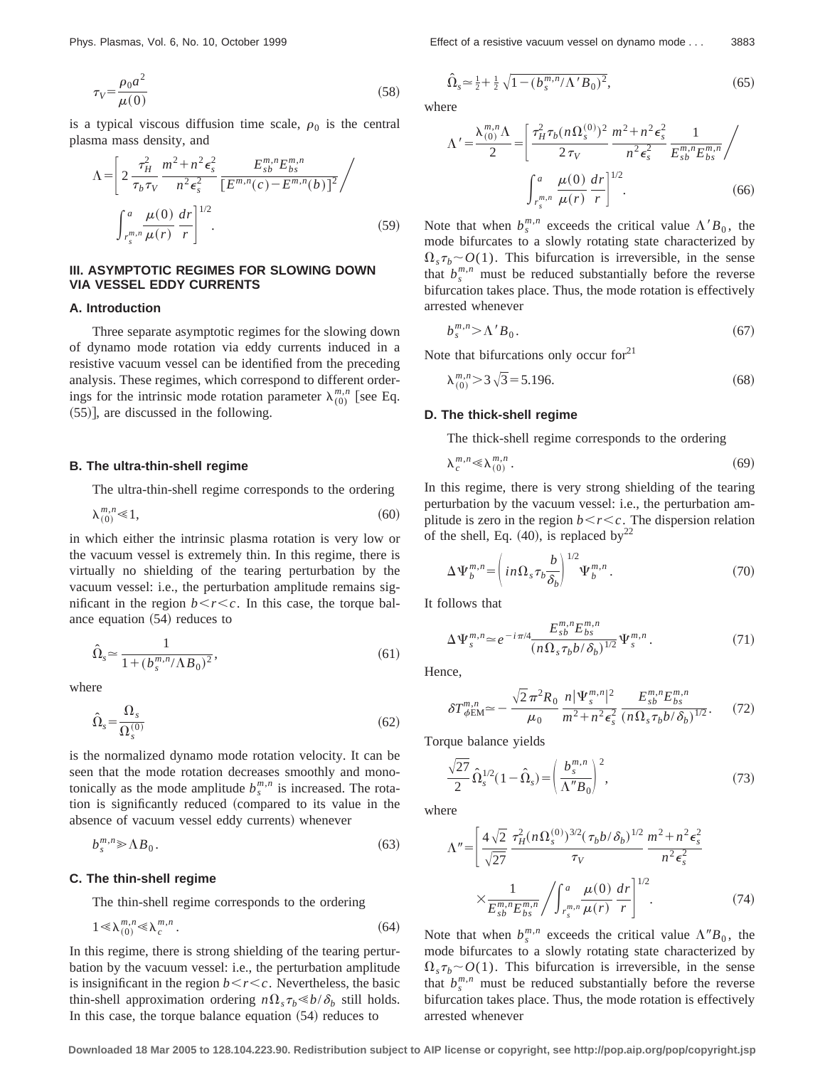$$
\tau_V = \frac{\rho_0 a^2}{\mu(0)}\tag{58}
$$

is a typical viscous diffusion time scale,  $\rho_0$  is the central plasma mass density, and

$$
\Lambda = \left[ 2 \frac{\tau_H^2}{\tau_b \tau_V} \frac{m^2 + n^2 \epsilon_s^2}{n^2 \epsilon_s^2} \frac{E_{sb}^{m,n} E_{bs}^{m,n}}{\left[ E^{m,n}(c) - E^{m,n}(b) \right]^2} / \frac{\int_{r_s^{m,n}}^a \mu(0) dr}{\mu(r)} \frac{dr}{r} \right]^{1/2}.
$$
\n(59)

# **III. ASYMPTOTIC REGIMES FOR SLOWING DOWN VIA VESSEL EDDY CURRENTS**

## **A. Introduction**

*m*,*n*

Three separate asymptotic regimes for the slowing down of dynamo mode rotation via eddy currents induced in a resistive vacuum vessel can be identified from the preceding analysis. These regimes, which correspond to different orderings for the intrinsic mode rotation parameter  $\lambda_{(0)}^{m,n}$  [see Eq.  $(55)$ ], are discussed in the following.

# **B. The ultra-thin-shell regime**

The ultra-thin-shell regime corresponds to the ordering

$$
\lambda_{(0)}^{m,n} \ll 1,\tag{60}
$$

in which either the intrinsic plasma rotation is very low or the vacuum vessel is extremely thin. In this regime, there is virtually no shielding of the tearing perturbation by the vacuum vessel: i.e., the perturbation amplitude remains significant in the region  $b < r < c$ . In this case, the torque balance equation  $(54)$  reduces to

$$
\hat{\Omega}_s \simeq \frac{1}{1 + (b_s^{m,n}/\Lambda B_0)^2},\tag{61}
$$

where

$$
\hat{\Omega}_s = \frac{\Omega_s}{\Omega_s^{(0)}}\tag{62}
$$

is the normalized dynamo mode rotation velocity. It can be seen that the mode rotation decreases smoothly and monotonically as the mode amplitude  $b_s^{m,n}$  is increased. The rotation is significantly reduced (compared to its value in the absence of vacuum vessel eddy currents) whenever

$$
b_s^{m,n} \ge \Lambda B_0. \tag{63}
$$

#### **C. The thin-shell regime**

The thin-shell regime corresponds to the ordering

$$
1 \ll \lambda_{(0)}^{m,n} \ll \lambda_c^{m,n} \tag{64}
$$

In this regime, there is strong shielding of the tearing perturbation by the vacuum vessel: i.e., the perturbation amplitude is insignificant in the region  $b < r < c$ . Nevertheless, the basic thin-shell approximation ordering  $n\Omega_s \tau_b \ll b/\delta_b$  still holds. In this case, the torque balance equation  $(54)$  reduces to

$$
\hat{\Omega}_s \approx \frac{1}{2} + \frac{1}{2} \sqrt{1 - (b_s^{m,n}/\Lambda' B_0)^2},\tag{65}
$$

where

$$
\Lambda' = \frac{\lambda_{(0)}^{m,n} \Lambda}{2} = \left[ \frac{\tau_H^2 \tau_b (n \Omega_s^{(0)})^2}{2 \tau_V} \frac{m^2 + n^2 \epsilon_s^2}{n^2 \epsilon_s^2} \frac{1}{E_{sb}^{m,n} E_{bs}^{m,n}} \right/ \frac{1}{\int_{r_s^{m,n}}^a \mu(r)} \frac{\mu(0)}{r} \frac{dr}{r} \right]^{1/2}.
$$
 (66)

Note that when  $b_s^{m,n}$  exceeds the critical value  $\Lambda' B_0$ , the mode bifurcates to a slowly rotating state characterized by  $\Omega_s \tau_b \sim O(1)$ . This bifurcation is irreversible, in the sense that  $b_s^{m,n}$  must be reduced substantially before the reverse bifurcation takes place. Thus, the mode rotation is effectively arrested whenever

$$
b_s^{m,n} > \Lambda' B_0. \tag{67}
$$

Note that bifurcations only occur for $21$ 

$$
\lambda_{(0)}^{m,n} > 3\sqrt{3} = 5.196. \tag{68}
$$

#### **D. The thick-shell regime**

The thick-shell regime corresponds to the ordering

$$
\lambda_c^{m,n} \ll \lambda_{(0)}^{m,n} \tag{69}
$$

In this regime, there is very strong shielding of the tearing perturbation by the vacuum vessel: i.e., the perturbation amplitude is zero in the region  $b < r < c$ . The dispersion relation of the shell, Eq. (40), is replaced by<sup>22</sup>

$$
\Delta \Psi_b^{m,n} = \left( in \Omega_s \tau_b \frac{b}{\delta_b} \right)^{1/2} \Psi_b^{m,n} . \tag{70}
$$

It follows that

$$
\Delta \Psi_s^{m,n} \simeq e^{-i\pi/4} \frac{E_{sb}^{m,n} E_{bs}^{m,n}}{(n\Omega_s \tau_b b/\delta_b)^{1/2}} \Psi_s^{m,n} . \tag{71}
$$

Hence,

$$
\delta T_{\phi \to M}^{m,n} \simeq -\frac{\sqrt{2}\,\pi^2 R_0}{\mu_0} \frac{n |\Psi_s^{m,n}|^2}{m^2 + n^2 \epsilon_s^2} \frac{E_{sb}^{m,n} E_{bs}^{m,n}}{(n\Omega_s \tau_b b/\delta_b)^{1/2}}.\tag{72}
$$

Torque balance yields

$$
\frac{\sqrt{27}}{2}\hat{\Omega}_s^{1/2}(1-\hat{\Omega}_s) = \left(\frac{b_s^{m,n}}{\Lambda''B_0}\right)^2,\tag{73}
$$

where

$$
\Lambda'' = \left[ \frac{4\sqrt{2}}{\sqrt{27}} \frac{\tau_H^2 (n\Omega_s^{(0)})^{3/2} (\tau_b b/\delta_b)^{1/2}}{\tau_V} \frac{m^2 + n^2 \epsilon_s^2}{n^2 \epsilon_s^2} \right]
$$

$$
\times \frac{1}{E_{sb}^{m,n} E_{bs}^{m,n}} \left/ \int_{r_s^{m,n}}^a \frac{\mu(0)}{\mu(r)} \frac{dr}{r} \right]^{1/2} . \tag{74}
$$

Note that when  $b_s^{m,n}$  exceeds the critical value  $\Lambda''B_0$ , the mode bifurcates to a slowly rotating state characterized by  $\Omega_s \tau_b \sim O(1)$ . This bifurcation is irreversible, in the sense that  $b_s^{m,n}$  must be reduced substantially before the reverse bifurcation takes place. Thus, the mode rotation is effectively arrested whenever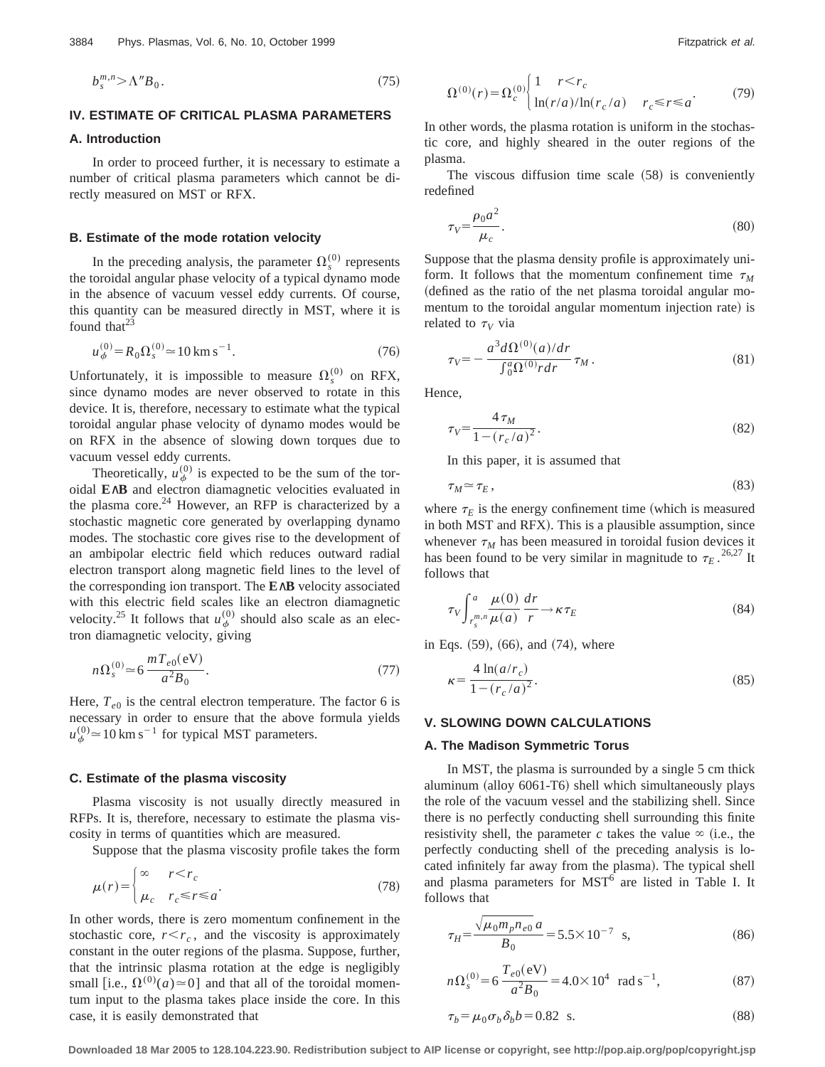$$
b_s^{m,n} > \Lambda^n B_0. \tag{75}
$$

# **IV. ESTIMATE OF CRITICAL PLASMA PARAMETERS**

# **A. Introduction**

In order to proceed further, it is necessary to estimate a number of critical plasma parameters which cannot be directly measured on MST or RFX.

# **B. Estimate of the mode rotation velocity**

In the preceding analysis, the parameter  $\Omega_s^{(0)}$  represents the toroidal angular phase velocity of a typical dynamo mode in the absence of vacuum vessel eddy currents. Of course, this quantity can be measured directly in MST, where it is found that $^{23}$ 

$$
u_{\phi}^{(0)} = R_0 \Omega_s^{(0)} \approx 10 \,\text{km s}^{-1}.
$$
 (76)

Unfortunately, it is impossible to measure  $\Omega_s^{(0)}$  on RFX, since dynamo modes are never observed to rotate in this device. It is, therefore, necessary to estimate what the typical toroidal angular phase velocity of dynamo modes would be on RFX in the absence of slowing down torques due to vacuum vessel eddy currents.

Theoretically,  $u_{\phi}^{(0)}$  is expected to be the sum of the toroidal **E**∧**B** and electron diamagnetic velocities evaluated in the plasma core. $24$  However, an RFP is characterized by a stochastic magnetic core generated by overlapping dynamo modes. The stochastic core gives rise to the development of an ambipolar electric field which reduces outward radial electron transport along magnetic field lines to the level of the corresponding ion transport. The **E**∧**B** velocity associated with this electric field scales like an electron diamagnetic velocity.<sup>25</sup> It follows that  $u_{\phi}^{(0)}$  should also scale as an electron diamagnetic velocity, giving

$$
n\Omega_s^{(0)} \approx 6 \frac{mT_{e0}(eV)}{a^2B_0}.
$$
 (77)

Here,  $T_{e0}$  is the central electron temperature. The factor 6 is necessary in order to ensure that the above formula yields  $u_{\phi}^{(0)} \approx 10 \text{ km s}^{-1}$  for typical MST parameters.

# **C. Estimate of the plasma viscosity**

Plasma viscosity is not usually directly measured in RFPs. It is, therefore, necessary to estimate the plasma viscosity in terms of quantities which are measured.

Suppose that the plasma viscosity profile takes the form

$$
\mu(r) = \begin{cases}\n\infty & r < r_c \\
\mu_c & r_c \le r \le a\n\end{cases} \tag{78}
$$

In other words, there is zero momentum confinement in the stochastic core,  $r < r_c$ , and the viscosity is approximately constant in the outer regions of the plasma. Suppose, further, that the intrinsic plasma rotation at the edge is negligibly small [i.e.,  $\Omega^{(0)}(a) \approx 0$ ] and that all of the toroidal momentum input to the plasma takes place inside the core. In this case, it is easily demonstrated that

$$
\Omega^{(0)}(r) = \Omega_c^{(0)} \begin{cases} 1 & r < r_c \\ \ln(r/a)/\ln(r_c/a) & r_c \le r \le a \end{cases}
$$
 (79)

In other words, the plasma rotation is uniform in the stochastic core, and highly sheared in the outer regions of the plasma.

The viscous diffusion time scale  $(58)$  is conveniently redefined

$$
\tau_V = \frac{\rho_0 a^2}{\mu_c}.\tag{80}
$$

Suppose that the plasma density profile is approximately uniform. It follows that the momentum confinement time  $\tau_M$ (defined as the ratio of the net plasma toroidal angular momentum to the toroidal angular momentum injection rate) is related to  $\tau_V$  via

$$
\tau_V = -\frac{a^3 d\Omega^{(0)}(a)/dr}{\int_0^a \Omega^{(0)} r dr} \tau_M.
$$
\n(81)

Hence,

$$
\tau_V = \frac{4\,\tau_M}{1 - (r_c/a)^2}.\tag{82}
$$

In this paper, it is assumed that

$$
\tau_M \simeq \tau_E, \tag{83}
$$

where  $\tau_E$  is the energy confinement time (which is measured in both MST and RFX). This is a plausible assumption, since whenever  $\tau_M$  has been measured in toroidal fusion devices it has been found to be very similar in magnitude to  $\tau_E$ .<sup>26,27</sup> It follows that

$$
\tau_V \int_{r_s^{m,n}}^a \frac{\mu(0)}{\mu(a)} \frac{dr}{r} \to \kappa \tau_E
$$
\n(84)

in Eqs.  $(59)$ ,  $(66)$ , and  $(74)$ , where

$$
\kappa = \frac{4 \ln(a/r_c)}{1 - (r_c/a)^2}.
$$
\n(85)

## **V. SLOWING DOWN CALCULATIONS**

#### **A. The Madison Symmetric Torus**

In MST, the plasma is surrounded by a single 5 cm thick aluminum  $\text{(allow 6061-T6)}$  shell which simultaneously plays the role of the vacuum vessel and the stabilizing shell. Since there is no perfectly conducting shell surrounding this finite resistivity shell, the parameter *c* takes the value  $\infty$  (i.e., the perfectly conducting shell of the preceding analysis is located infinitely far away from the plasma). The typical shell and plasma parameters for  $MST<sup>6</sup>$  are listed in Table I. It follows that

$$
\tau_H = \frac{\sqrt{\mu_0 m_p n_{e0}} a}{B_0} = 5.5 \times 10^{-7} \text{ s},\tag{86}
$$

$$
n\Omega_s^{(0)} = 6 \frac{T_{e0}(eV)}{a^2 B_0} = 4.0 \times 10^4 \text{ rad s}^{-1},
$$
 (87)

$$
\tau_b = \mu_0 \sigma_b \delta_b b = 0.82 \quad \text{s.}
$$
\n
$$
(88)
$$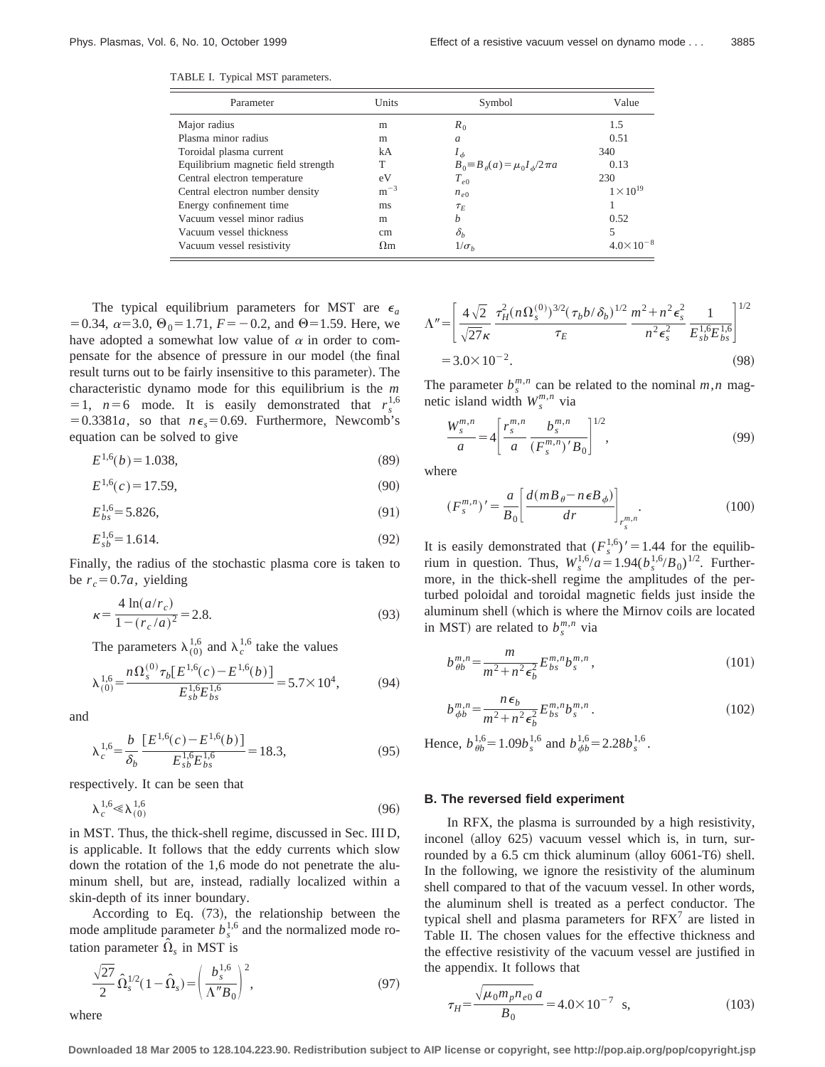TABLE I. Typical MST parameters.

| Parameter                           | Units      | Symbol                                    | Value              |
|-------------------------------------|------------|-------------------------------------------|--------------------|
| Major radius                        | m          | $R_0$                                     | 1.5                |
| Plasma minor radius                 | m          | a                                         | 0.51               |
| Toroidal plasma current             | kA         | $I_{\phi}$                                | 340                |
| Equilibrium magnetic field strength | Т          | $B_0 = B_\theta(a) = \mu_0 I_\phi/2\pi a$ | 0.13               |
| Central electron temperature        | eV         | $T_{e0}$                                  | 230                |
| Central electron number density     | $m^{-3}$   | $n_{e0}$                                  | $1 \times 10^{19}$ |
| Energy confinement time             | ms         | $\tau_E$                                  |                    |
| Vacuum vessel minor radius          | m          | b                                         | 0.52               |
| Vacuum vessel thickness             | cm         | $\delta_h$                                |                    |
| Vacuum vessel resistivity           | $\Omega$ m | $1/\sigma_h$                              |                    |

The typical equilibrium parameters for MST are  $\epsilon_a$ = 0.34,  $\alpha$ = 3.0,  $\Theta_0$ = 1.71,  $F = -0.2$ , and  $\Theta$ = 1.59. Here, we have adopted a somewhat low value of  $\alpha$  in order to compensate for the absence of pressure in our model (the final result turns out to be fairly insensitive to this parameter). The characteristic dynamo mode for this equilibrium is the *m*  $= 1$ ,  $n=6$  mode. It is easily demonstrated that  $r_s^{1,6}$  $= 0.3381a$ , so that  $n\epsilon_s = 0.69$ . Furthermore, Newcomb's equation can be solved to give

$$
E^{1,6}(b) = 1.038,\t(89)
$$

$$
E^{1,6}(c) = 17.59,\t(90)
$$

$$
E_{bs}^{1,6} = 5.826,\t\t(91)
$$

$$
E_{sb}^{1,6} = 1.614.\t\t(92)
$$

Finally, the radius of the stochastic plasma core is taken to be  $r_c = 0.7a$ , yielding

$$
\kappa = \frac{4 \ln(a/r_c)}{1 - (r_c/a)^2} = 2.8.
$$
\n(93)

The parameters  $\lambda_{(0)}^{1,6}$  and  $\lambda_c^{1,6}$  take the values

$$
\lambda_{(0)}^{1,6} = \frac{n\Omega_s^{(0)}\tau_b[E^{1,6}(c) - E^{1,6}(b)]}{E_{sb}^{1,6}E_{bs}^{1,6}} = 5.7 \times 10^4,\tag{94}
$$

and

$$
\lambda_c^{1,6} = \frac{b}{\delta_b} \frac{[E^{1,6}(c) - E^{1,6}(b)]}{E_{sb}^{1,6} E_{bs}^{1,6}} = 18.3,
$$
\n(95)

respectively. It can be seen that

$$
\lambda_c^{1,6} \ll \lambda_{(0)}^{1,6} \tag{96}
$$

in MST. Thus, the thick-shell regime, discussed in Sec. III D, is applicable. It follows that the eddy currents which slow down the rotation of the 1,6 mode do not penetrate the aluminum shell, but are, instead, radially localized within a skin-depth of its inner boundary.

According to Eq.  $(73)$ , the relationship between the mode amplitude parameter  $b_s^{1,6}$  and the normalized mode rotation parameter  $\hat{\Omega}_s$  in MST is

$$
\frac{\sqrt{27}}{2} \hat{\Omega}_s^{1/2} (1 - \hat{\Omega}_s) = \left(\frac{b_s^{1,6}}{\Lambda'' B_0}\right)^2, \tag{97}
$$

where

$$
\Lambda'' = \left[ \frac{4\sqrt{2}}{\sqrt{27}\kappa} \frac{\tau_H^2 (n\Omega_s^{(0)})^{3/2} (\tau_b b/\delta_b)^{1/2}}{\tau_E} \frac{m^2 + n^2 \epsilon_s^2}{n^2 \epsilon_s^2} \frac{1}{E_{sb}^{1.6} E_{bs}^{1.6}} \right]^{1/2}
$$
  
= 3.0×10<sup>-2</sup>. (98)

The parameter  $b_s^{m,n}$  can be related to the nominal  $m,n$  magnetic island width  $W_s^{m,n}$  via

$$
\frac{W_s^{m,n}}{a} = 4 \left[ \frac{r_s^{m,n}}{a} \frac{b_s^{m,n}}{(F_s^{m,n})'B_0} \right]^{1/2},\tag{99}
$$

where

$$
(F_s^{m,n})' = \frac{a}{B_0} \left[ \frac{d(mB_\theta - n\epsilon B_\phi)}{dr} \right]_{r_s^m,n}.
$$
\n(100)

It is easily demonstrated that  $(F_s^{1,6})' = 1.44$  for the equilibrium in question. Thus,  $W_s^{1,6}/a = 1.94(b_s^{1,6}/B_0)^{1/2}$ . Furthermore, in the thick-shell regime the amplitudes of the perturbed poloidal and toroidal magnetic fields just inside the aluminum shell (which is where the Mirnov coils are located in MST) are related to  $b_s^{m,n}$  via

$$
b_{\theta b}^{m,n} = \frac{m}{m^2 + n^2 \epsilon_b^2} E_{bs}^{m,n} b_s^{m,n}, \qquad (101)
$$

$$
b_{\phi b}^{m,n} = \frac{n\epsilon_b}{m^2 + n^2 \epsilon_b^2} E_{bs}^{m,n} b_s^{m,n} . \tag{102}
$$

Hence,  $b_{\theta b}^{1,6} = 1.09b_s^{1,6}$  and  $b_{\phi b}^{1,6} = 2.28b_s^{1,6}$ .

#### **B. The reversed field experiment**

In RFX, the plasma is surrounded by a high resistivity, inconel (alloy  $625$ ) vacuum vessel which is, in turn, surrounded by a  $6.5$  cm thick aluminum (alloy  $6061-T6$ ) shell. In the following, we ignore the resistivity of the aluminum shell compared to that of the vacuum vessel. In other words, the aluminum shell is treated as a perfect conductor. The typical shell and plasma parameters for  $RFX<sup>7</sup>$  are listed in Table II. The chosen values for the effective thickness and the effective resistivity of the vacuum vessel are justified in the appendix. It follows that

$$
\tau_H = \frac{\sqrt{\mu_0 m_p n_{e0}} a}{B_0} = 4.0 \times 10^{-7} \text{ s},\tag{103}
$$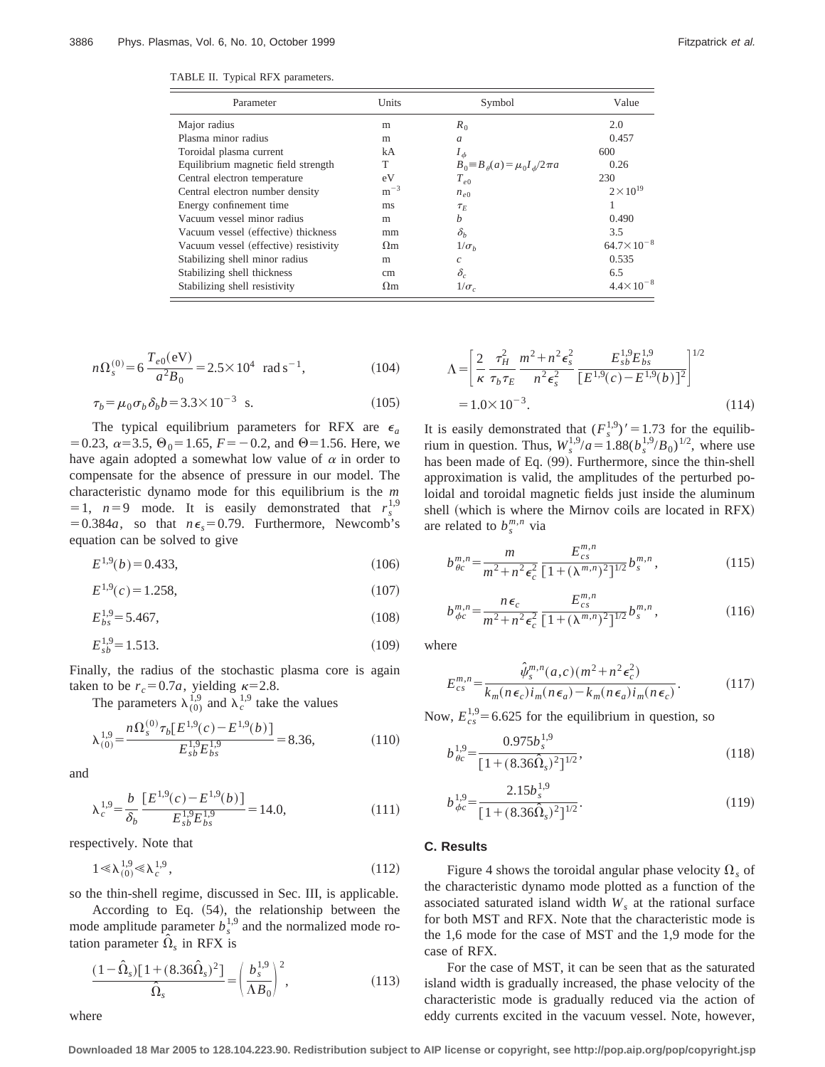| TABLE II. Typical RFX parameters. |  |  |  |
|-----------------------------------|--|--|--|
|-----------------------------------|--|--|--|

| Parameter                             | Units      | Symbol                                    | Value                 |
|---------------------------------------|------------|-------------------------------------------|-----------------------|
| Major radius                          | m          | $R_0$                                     | 2.0                   |
| Plasma minor radius                   | m          | $\mathfrak{a}$                            | 0.457                 |
| Toroidal plasma current               | kA         | $I_{\phi}$                                | 600                   |
| Equilibrium magnetic field strength   | T          | $B_0 = B_\theta(a) = \mu_0 I_\phi/2\pi a$ | 0.26                  |
| Central electron temperature          | eV         | $T_{e0}$                                  | 230                   |
| Central electron number density       | $m^{-3}$   | $n_{e0}$                                  | $2 \times 10^{19}$    |
| Energy confinement time               | ms         | $\tau_E$                                  |                       |
| Vacuum vessel minor radius            | m          | h                                         | 0.490                 |
| Vacuum vessel (effective) thickness   | mm         | $\delta_b$                                | 3.5                   |
| Vacuum vessel (effective) resistivity | $\Omega$ m | $1/\sigma_h$                              | $64.7 \times 10^{-8}$ |
| Stabilizing shell minor radius        | m          | $\mathcal{C}$                             | 0.535                 |
| Stabilizing shell thickness           | cm         | $\delta_c$                                | 6.5                   |
| Stabilizing shell resistivity         | $\Omega$ m | $1/\sigma_c$                              | $4.4 \times 10^{-8}$  |

$$
n\Omega_s^{(0)} = 6 \frac{T_{e0}(\text{eV})}{a^2 B_0} = 2.5 \times 10^4 \text{ rad s}^{-1},
$$
 (104)

$$
\tau_b = \mu_0 \sigma_b \delta_b b = 3.3 \times 10^{-3} \text{ s.}
$$
 (105)

The typical equilibrium parameters for RFX are  $\epsilon_a$ = 0.23,  $\alpha$ = 3.5,  $\Theta_0$ = 1.65,  $F = -0.2$ , and  $\Theta$ = 1.56. Here, we have again adopted a somewhat low value of  $\alpha$  in order to compensate for the absence of pressure in our model. The characteristic dynamo mode for this equilibrium is the *m*  $= 1$ ,  $n=9$  mode. It is easily demonstrated that  $r_s^{1,9}$  $= 0.384a$ , so that  $n\epsilon_s = 0.79$ . Furthermore, Newcomb's equation can be solved to give

$$
E^{1,9}(b) = 0.433,\t(106)
$$

$$
E^{1,9}(c) = 1.258,\tag{107}
$$

$$
E_{bs}^{1,9} = 5.467,\tag{108}
$$

$$
E_{sb}^{1,9} = 1.513.\t(109)
$$

Finally, the radius of the stochastic plasma core is again taken to be  $r_c = 0.7a$ , yielding  $\kappa = 2.8$ .

The parameters  $\lambda_{(0)}^{1,9}$  and  $\lambda_c^{1,9}$  take the values

$$
\lambda_{(0)}^{1,9} = \frac{n\Omega_s^{(0)}\tau_b[E^{1,9}(c) - E^{1,9}(b)]}{E_{sb}^{1,9}E_{bs}^{1,9}} = 8.36,\tag{110}
$$

and

$$
\lambda_c^{1,9} = \frac{b}{\delta_b} \frac{[E^{1,9}(c) - E^{1,9}(b)]}{E_{sb}^{1,9} E_{bs}^{1,9}} = 14.0,\tag{111}
$$

respectively. Note that

$$
1 \ll \lambda_{(0)}^{1,9} \ll \lambda_c^{1,9},\tag{112}
$$

so the thin-shell regime, discussed in Sec. III, is applicable.

According to Eq.  $(54)$ , the relationship between the mode amplitude parameter  $b_s^{1,9}$  and the normalized mode rotation parameter  $\hat{\Omega}_s$  in RFX is

$$
\frac{(1 - \hat{\Omega}_s)[1 + (8.36\hat{\Omega}_s)^2]}{\hat{\Omega}_s} = \left(\frac{b_s^{1,9}}{\Lambda B_0}\right)^2,\tag{113}
$$

$$
\Lambda = \left[ \frac{2}{\kappa} \frac{\tau_H^2}{\tau_b \tau_E} \frac{m^2 + n^2 \epsilon_s^2}{n^2 \epsilon_s^2} \frac{E_{sb}^{1.9} E_{bs}^{1.9}}{\left[E^{1.9}(c) - E^{1.9}(b)\right]^2} \right]^{1/2}
$$
  
= 1.0×10<sup>-3</sup>. (114)

It is easily demonstrated that  $(F_s^{1,9})' = 1.73$  for the equilibrium in question. Thus,  $W_s^{1,9}/a = 1.88(b_s^{1,9}/B_0)^{1/2}$ , where use has been made of Eq. (99). Furthermore, since the thin-shell approximation is valid, the amplitudes of the perturbed poloidal and toroidal magnetic fields just inside the aluminum shell (which is where the Mirnov coils are located in RFX) are related to  $b_s^{m,n}$  via

$$
b_{\theta c}^{m,n} = \frac{m}{m^2 + n^2 \epsilon_c^2} \frac{E_{cs}^{m,n}}{[1 + (\lambda^{m,n})^2]^{1/2}} b_s^{m,n},\tag{115}
$$

$$
b_{\phi c}^{m,n} = \frac{n\epsilon_c}{m^2 + n^2\epsilon_c^2} \frac{E_{cs}^{m,n}}{[1 + (\lambda^{m,n})^2]^{1/2}} b_s^{m,n},\tag{116}
$$

where

$$
E_{cs}^{m,n} = \frac{\hat{\psi}_s^{m,n}(a,c)(m^2 + n^2 \epsilon_c^2)}{k_m(n\epsilon_c)i_m(n\epsilon_a) - k_m(n\epsilon_a)i_m(n\epsilon_c)}.
$$
(117)

Now,  $E_{cs}^{1,9}$  = 6.625 for the equilibrium in question, so

$$
b_{\theta c}^{1,9} = \frac{0.975b_s^{1,9}}{[1 + (8.36\hat{\Omega}_s)^2]^{1/2}},
$$
\n(118)

$$
b_{\phi c}^{1,9} = \frac{2.15b_s^{1,9}}{[1 + (8.36\hat{\Omega}_s)^2]^{1/2}}.
$$
\n(119)

# **C. Results**

Figure 4 shows the toroidal angular phase velocity  $\Omega_s$  of the characteristic dynamo mode plotted as a function of the associated saturated island width  $W_s$  at the rational surface for both MST and RFX. Note that the characteristic mode is the 1,6 mode for the case of MST and the 1,9 mode for the case of RFX.

For the case of MST, it can be seen that as the saturated island width is gradually increased, the phase velocity of the characteristic mode is gradually reduced via the action of eddy currents excited in the vacuum vessel. Note, however,

where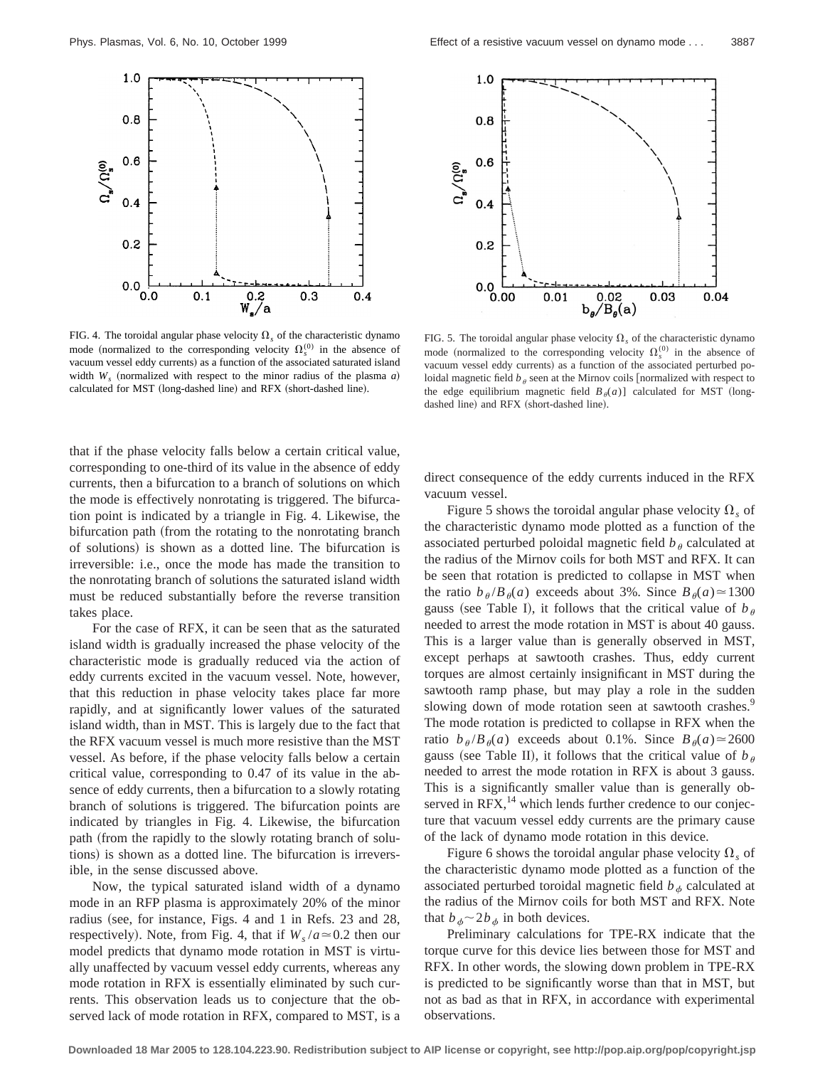

FIG. 4. The toroidal angular phase velocity  $\Omega_s$  of the characteristic dynamo mode (normalized to the corresponding velocity  $\Omega_s^{(0)}$  in the absence of vacuum vessel eddy currents) as a function of the associated saturated island width  $W_s$  (normalized with respect to the minor radius of the plasma *a*) calculated for MST (long-dashed line) and RFX (short-dashed line).

that if the phase velocity falls below a certain critical value, corresponding to one-third of its value in the absence of eddy currents, then a bifurcation to a branch of solutions on which the mode is effectively nonrotating is triggered. The bifurcation point is indicated by a triangle in Fig. 4. Likewise, the bifurcation path (from the rotating to the nonrotating branch of solutions) is shown as a dotted line. The bifurcation is irreversible: i.e., once the mode has made the transition to the nonrotating branch of solutions the saturated island width must be reduced substantially before the reverse transition takes place.

For the case of RFX, it can be seen that as the saturated island width is gradually increased the phase velocity of the characteristic mode is gradually reduced via the action of eddy currents excited in the vacuum vessel. Note, however, that this reduction in phase velocity takes place far more rapidly, and at significantly lower values of the saturated island width, than in MST. This is largely due to the fact that the RFX vacuum vessel is much more resistive than the MST vessel. As before, if the phase velocity falls below a certain critical value, corresponding to 0.47 of its value in the absence of eddy currents, then a bifurcation to a slowly rotating branch of solutions is triggered. The bifurcation points are indicated by triangles in Fig. 4. Likewise, the bifurcation path (from the rapidly to the slowly rotating branch of solutions) is shown as a dotted line. The bifurcation is irreversible, in the sense discussed above.

Now, the typical saturated island width of a dynamo mode in an RFP plasma is approximately 20% of the minor radius (see, for instance, Figs. 4 and 1 in Refs.  $23$  and  $28$ , respectively). Note, from Fig. 4, that if  $W_s/a \approx 0.2$  then our model predicts that dynamo mode rotation in MST is virtually unaffected by vacuum vessel eddy currents, whereas any mode rotation in RFX is essentially eliminated by such currents. This observation leads us to conjecture that the observed lack of mode rotation in RFX, compared to MST, is a



FIG. 5. The toroidal angular phase velocity  $\Omega_{\rm s}$  of the characteristic dynamo mode (normalized to the corresponding velocity  $\Omega_s^{(0)}$  in the absence of vacuum vessel eddy currents) as a function of the associated perturbed poloidal magnetic field  $b_\theta$  seen at the Mirnov coils [normalized with respect to the edge equilibrium magnetic field  $B_{\theta}(a)$ ] calculated for MST (longdashed line) and RFX (short-dashed line).

direct consequence of the eddy currents induced in the RFX vacuum vessel.

Figure 5 shows the toroidal angular phase velocity  $\Omega_s$  of the characteristic dynamo mode plotted as a function of the associated perturbed poloidal magnetic field  $b_{\theta}$  calculated at the radius of the Mirnov coils for both MST and RFX. It can be seen that rotation is predicted to collapse in MST when the ratio  $b_{\theta}/B_{\theta}(a)$  exceeds about 3%. Since  $B_{\theta}(a) \approx 1300$ gauss (see Table I), it follows that the critical value of  $b_{\theta}$ needed to arrest the mode rotation in MST is about 40 gauss. This is a larger value than is generally observed in MST, except perhaps at sawtooth crashes. Thus, eddy current torques are almost certainly insignificant in MST during the sawtooth ramp phase, but may play a role in the sudden slowing down of mode rotation seen at sawtooth crashes.<sup>9</sup> The mode rotation is predicted to collapse in RFX when the ratio  $b_{\theta}/B_{\theta}(a)$  exceeds about 0.1%. Since  $B_{\theta}(a) \approx 2600$ gauss (see Table II), it follows that the critical value of  $b_{\theta}$ needed to arrest the mode rotation in RFX is about 3 gauss. This is a significantly smaller value than is generally observed in RFX,<sup>14</sup> which lends further credence to our conjecture that vacuum vessel eddy currents are the primary cause of the lack of dynamo mode rotation in this device.

Figure 6 shows the toroidal angular phase velocity  $\Omega_{\rm s}$  of the characteristic dynamo mode plotted as a function of the associated perturbed toroidal magnetic field  $b_{\phi}$  calculated at the radius of the Mirnov coils for both MST and RFX. Note that  $b_{\phi} \sim 2b_{\phi}$  in both devices.

Preliminary calculations for TPE-RX indicate that the torque curve for this device lies between those for MST and RFX. In other words, the slowing down problem in TPE-RX is predicted to be significantly worse than that in MST, but not as bad as that in RFX, in accordance with experimental observations.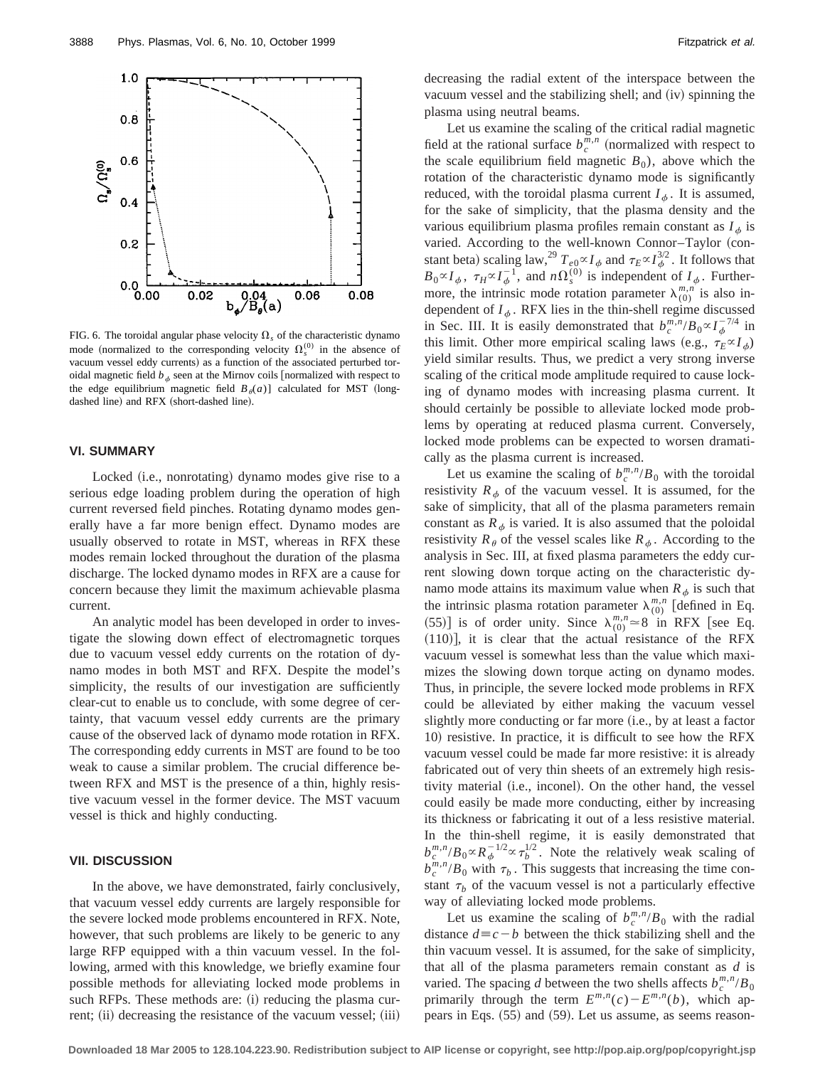

FIG. 6. The toroidal angular phase velocity  $\Omega_s$  of the characteristic dynamo mode (normalized to the corresponding velocity  $\Omega_s^{(0)}$  in the absence of vacuum vessel eddy currents) as a function of the associated perturbed toroidal magnetic field  $b_{\phi}$  seen at the Mirnov coils [normalized with respect to the edge equilibrium magnetic field  $B_{\theta}(a)$ ] calculated for MST (longdashed line) and RFX (short-dashed line).

# **VI. SUMMARY**

Locked (i.e., nonrotating) dynamo modes give rise to a serious edge loading problem during the operation of high current reversed field pinches. Rotating dynamo modes generally have a far more benign effect. Dynamo modes are usually observed to rotate in MST, whereas in RFX these modes remain locked throughout the duration of the plasma discharge. The locked dynamo modes in RFX are a cause for concern because they limit the maximum achievable plasma current.

An analytic model has been developed in order to investigate the slowing down effect of electromagnetic torques due to vacuum vessel eddy currents on the rotation of dynamo modes in both MST and RFX. Despite the model's simplicity, the results of our investigation are sufficiently clear-cut to enable us to conclude, with some degree of certainty, that vacuum vessel eddy currents are the primary cause of the observed lack of dynamo mode rotation in RFX. The corresponding eddy currents in MST are found to be too weak to cause a similar problem. The crucial difference between RFX and MST is the presence of a thin, highly resistive vacuum vessel in the former device. The MST vacuum vessel is thick and highly conducting.

# **VII. DISCUSSION**

In the above, we have demonstrated, fairly conclusively, that vacuum vessel eddy currents are largely responsible for the severe locked mode problems encountered in RFX. Note, however, that such problems are likely to be generic to any large RFP equipped with a thin vacuum vessel. In the following, armed with this knowledge, we briefly examine four possible methods for alleviating locked mode problems in such RFPs. These methods are: (i) reducing the plasma current; (ii) decreasing the resistance of the vacuum vessel; (iii) decreasing the radial extent of the interspace between the vacuum vessel and the stabilizing shell; and (iv) spinning the plasma using neutral beams.

Let us examine the scaling of the critical radial magnetic field at the rational surface  $b_c^{m,n}$  (normalized with respect to the scale equilibrium field magnetic  $B_0$ ), above which the rotation of the characteristic dynamo mode is significantly reduced, with the toroidal plasma current  $I_{\phi}$ . It is assumed, for the sake of simplicity, that the plasma density and the various equilibrium plasma profiles remain constant as  $I_{\phi}$  is varied. According to the well-known Connor-Taylor (constant beta) scaling law,  $^{29}T_{e0}^{\alpha}I_{\phi}$  and  $\tau_E \propto I_{\phi}^{3/2}$ . It follows that  $B_0 \propto I_\phi$ ,  $\tau_H \propto I_\phi^{-1}$ , and  $n\Omega_s^{(0)}$  is independent of  $I_\phi$ . Furthermore, the intrinsic mode rotation parameter  $\lambda_{(0)}^{m,n}$  is also independent of  $I_{\phi}$ . RFX lies in the thin-shell regime discussed in Sec. III. It is easily demonstrated that  $b_c^{m,n}/B_0 \propto I_{\phi}^{-7/4}$  in this limit. Other more empirical scaling laws (e.g.,  $\tau_E \propto I_\phi$ ) yield similar results. Thus, we predict a very strong inverse scaling of the critical mode amplitude required to cause locking of dynamo modes with increasing plasma current. It should certainly be possible to alleviate locked mode problems by operating at reduced plasma current. Conversely, locked mode problems can be expected to worsen dramatically as the plasma current is increased.

Let us examine the scaling of  $b_c^{m,n}/B_0$  with the toroidal resistivity  $R_{\phi}$  of the vacuum vessel. It is assumed, for the sake of simplicity, that all of the plasma parameters remain constant as  $R_{\phi}$  is varied. It is also assumed that the poloidal resistivity  $R_{\theta}$  of the vessel scales like  $R_{\phi}$ . According to the analysis in Sec. III, at fixed plasma parameters the eddy current slowing down torque acting on the characteristic dynamo mode attains its maximum value when  $R_{\phi}$  is such that the intrinsic plasma rotation parameter  $\lambda_{(0)}^{m,n}$  [defined in Eq. (55)] is of order unity. Since  $\lambda_{(0)}^{m,n} \approx 8$  in RFX [see Eq.  $(110)$ , it is clear that the actual resistance of the RFX vacuum vessel is somewhat less than the value which maximizes the slowing down torque acting on dynamo modes. Thus, in principle, the severe locked mode problems in RFX could be alleviated by either making the vacuum vessel slightly more conducting or far more (i.e., by at least a factor 10) resistive. In practice, it is difficult to see how the RFX vacuum vessel could be made far more resistive: it is already fabricated out of very thin sheets of an extremely high resistivity material (i.e., inconel). On the other hand, the vessel could easily be made more conducting, either by increasing its thickness or fabricating it out of a less resistive material. In the thin-shell regime, it is easily demonstrated that  $b_c^{m,n}/B_0 \propto R_\phi^{-1/2} \propto \tau_b^{1/2}$ . Note the relatively weak scaling of  $b_c^{m,n}/B_0$  with  $\tau_b$ . This suggests that increasing the time constant  $\tau_b$  of the vacuum vessel is not a particularly effective way of alleviating locked mode problems.

Let us examine the scaling of  $b_c^{m,n}/B_0$  with the radial distance  $d \equiv c - b$  between the thick stabilizing shell and the thin vacuum vessel. It is assumed, for the sake of simplicity, that all of the plasma parameters remain constant as *d* is varied. The spacing *d* between the two shells affects  $b_c^{m,n}/B_0$ primarily through the term  $E^{m,n}(c) - E^{m,n}(b)$ , which appears in Eqs.  $(55)$  and  $(59)$ . Let us assume, as seems reason